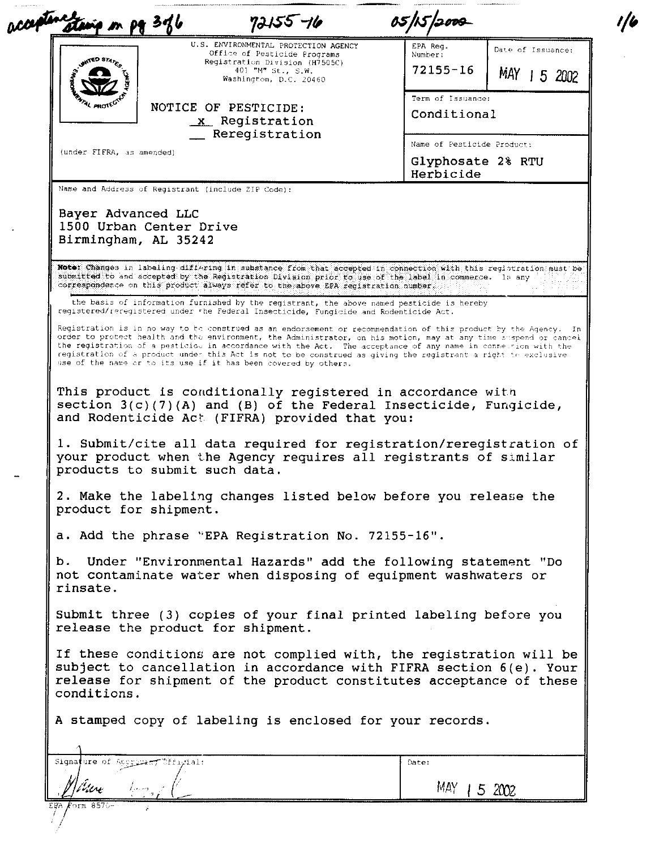| constant<br>m pg 376                                                                                                                                                                                                                                                                                                                                                                                                                                                                  | 72155 -16                                                                                 | 05/15/2009                                                   |                   |
|---------------------------------------------------------------------------------------------------------------------------------------------------------------------------------------------------------------------------------------------------------------------------------------------------------------------------------------------------------------------------------------------------------------------------------------------------------------------------------------|-------------------------------------------------------------------------------------------|--------------------------------------------------------------|-------------------|
| <b>RED STAY</b>                                                                                                                                                                                                                                                                                                                                                                                                                                                                       | U.S. ENVIRONMENTAL PROTECTION AGENCY<br>Office of Pesticide Programs                      | EPA Req.<br>Number:                                          | Date of Issuance: |
|                                                                                                                                                                                                                                                                                                                                                                                                                                                                                       | Registration Division (H7505C)<br>401 "M" St., S.W.<br>Washington, D.C. 20460             | $72155 - 16$                                                 | MAY 15 2002       |
| י אמי                                                                                                                                                                                                                                                                                                                                                                                                                                                                                 | NOTICE OF PESTICIDE:<br>x Registration                                                    | Term of Issuance:<br>Conditional                             |                   |
| (under FIFRA, as amended)                                                                                                                                                                                                                                                                                                                                                                                                                                                             | _ Reregistration                                                                          | Name of Pesticide Product:<br>Glyphosate 2% RTU<br>Herbicide |                   |
| Name and Address of Registrant (include ZIP Code):<br>Bayer Advanced LLC<br>1500 Urban Center Drive                                                                                                                                                                                                                                                                                                                                                                                   |                                                                                           |                                                              |                   |
| Birmingham, AL 35242<br>Note: Changes in labeling differing in substance from that accepted in connection with this registration must be                                                                                                                                                                                                                                                                                                                                              |                                                                                           |                                                              |                   |
| submitted to and accepted by the Registration Division prior to use of the label in commerce. In any<br>correspondence on this product always refer to the above EPA registration number.                                                                                                                                                                                                                                                                                             |                                                                                           |                                                              |                   |
| registered/reregistered under the Federal Insecticide, Fungicide and Rodenticide Act.                                                                                                                                                                                                                                                                                                                                                                                                 | the basis of information furnished by the registrant, the above named pesticide is hereby |                                                              |                   |
| order to protect health and the environment, the Administrator, on his motion, may at any time suspend or cancel<br>the registration of a pesticiou in accordance with the Act. The acceptance of any name in connetrion with the<br>registration of a product under this Act is not to be construed as giving the registrant a right to exclusive<br>use of the name or to its use if it has been covered by others.                                                                 |                                                                                           |                                                              |                   |
|                                                                                                                                                                                                                                                                                                                                                                                                                                                                                       |                                                                                           |                                                              |                   |
|                                                                                                                                                                                                                                                                                                                                                                                                                                                                                       |                                                                                           |                                                              |                   |
| This product is conditionally registered in accordance with<br>section $3(c)(7)(A)$ and (B) of the Federal Insecticide, Fungicide,<br>and Rodenticide Act (FIFRA) provided that you:<br>1. Submit/cite all data required for registration/reregistration of<br>your product when the Agency requires all registrants of similar<br>products to submit such data.<br>2. Make the labeling changes listed below before you release the<br>product for shipment.                         |                                                                                           |                                                              |                   |
|                                                                                                                                                                                                                                                                                                                                                                                                                                                                                       |                                                                                           |                                                              |                   |
|                                                                                                                                                                                                                                                                                                                                                                                                                                                                                       | Under "Environmental Hazards" add the following statement "Do                             |                                                              |                   |
|                                                                                                                                                                                                                                                                                                                                                                                                                                                                                       |                                                                                           |                                                              |                   |
| a. Add the phrase "EPA Registration No. 72155-16".<br>b.<br>not contaminate water when disposing of equipment washwaters or<br>rinsate.<br>Submit three (3) copies of your final printed labeling before you<br>release the product for shipment.<br>If these conditions are not complied with, the registration will be<br>subject to cancellation in accordance with FIFRA section 6(e). Your<br>release for shipment of the product constitutes acceptance of these<br>conditions. |                                                                                           |                                                              |                   |
|                                                                                                                                                                                                                                                                                                                                                                                                                                                                                       |                                                                                           |                                                              |                   |
| A stamped copy of labeling is enclosed for your records.<br>Signature of Approximation of figural:                                                                                                                                                                                                                                                                                                                                                                                    |                                                                                           | Date:                                                        |                   |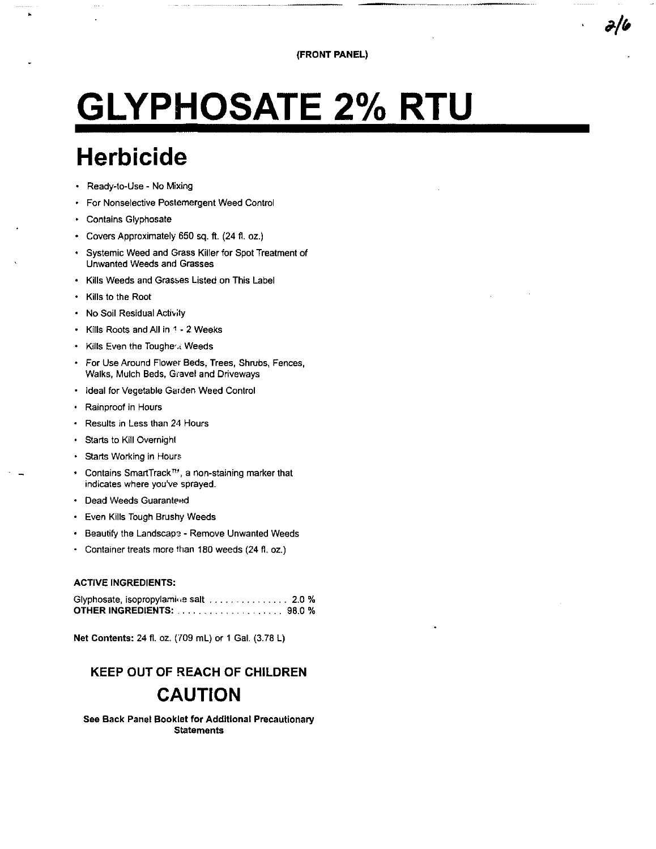# **GLYPHOSATE 2% RTU**

# **Herbicide**

- Ready-to-Use No Mixing
- For Nonselective Postemergent Weed Control
- Contains Glyphosate
- Covers Approximately 650 sq. ft. (24 fl. oz.)
- Systemic Weed and Grass Killer for Spot Treatment of **Unwanted Weeds and Grasses**
- Kills Weeds and Grasses Listed on This Label
- Kills to the Root
- . No Soil Residual Activity
- Kills Roots and All in 1 2 Weeks
- . Kills Even the Toughest Weeds
- For Use Around Flower Beds, Trees, Shrubs, Fences, Walks, Mulch Beds, Gravel and Driveways
- Ideal for Vegetable Garden Weed Control  $\bullet$
- Rainproof in Hours
- Results in Less than 24 Hours
- Starts to Kill Overnight
- · Starts Working in Hours
- Contains SmartTrack™, a non-staining marker that indicates where you've sprayed.
- **Dead Weeds Guaranteed**
- Even Kills Tough Brushy Weeds  $\bullet$
- Beautify the Landscape Remove Unwanted Weeds  $\bullet$
- Container treats more than 180 weeds (24 fl. oz.)

#### **ACTIVE INGREDIENTS:**

| Glyphosate, isopropylamine salt 2.0 % |        |
|---------------------------------------|--------|
|                                       | 98.0 % |

Net Contents: 24 fl. oz. (709 mL) or 1 Gal. (3.78 L)

## **KEEP OUT OF REACH OF CHILDREN CAUTION**

See Back Panel Booklet for Additional Precautionary **Statements**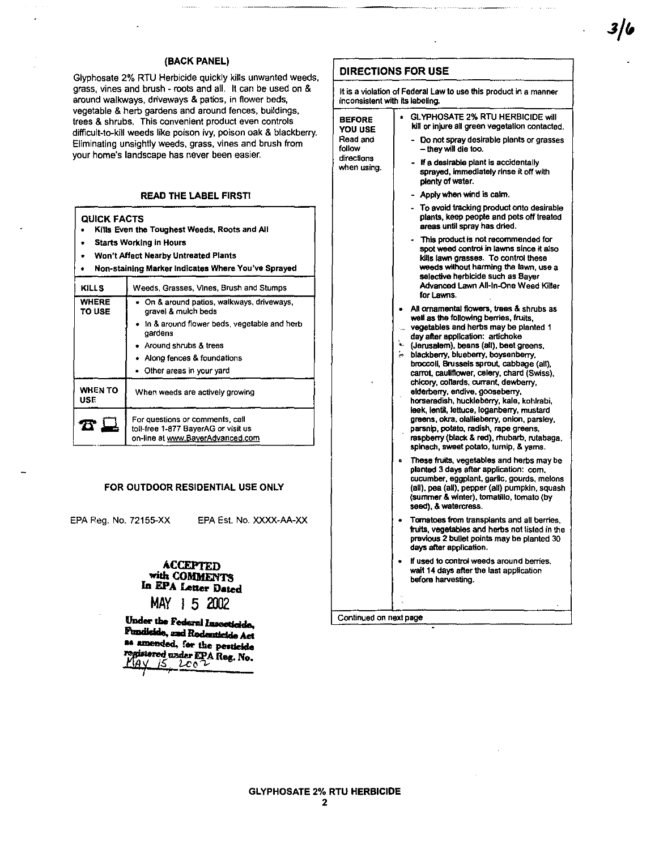#### (BACK PANEL)

Glyphosate 2% RTU Herbicide quickly kills unwanted weeds, grass, vines and brush - roots and all. It can be used on & around walkways, driveways & patios, in flower beds, vegetable & herb gardens and around fences, buildings, trees & shrubs. This convenient product even controls difficult-to-kill weeds like poison ivy, poison oak & blackberry. Eliminating unsightly weeds, grass, vines and brush from your home's landscape has never been easier.

#### **READ THE LABEL FIRST!**

| Kills Even the Toughest Weeds, Roots and All<br><b>Starts Working in Hours</b><br>Won't Affect Nearby Untreated Plants<br>Non-staining Marker Indicates Where You've Sprayed |                                                                   |  |  |  |  |
|------------------------------------------------------------------------------------------------------------------------------------------------------------------------------|-------------------------------------------------------------------|--|--|--|--|
| <b>KILLS</b>                                                                                                                                                                 | Weeds, Grasses, Vines, Brush and Stumps                           |  |  |  |  |
| <b>WHERE</b><br><b>TO USE</b>                                                                                                                                                | • On & around patios, walkways, driveways,<br>gravel & mulch beds |  |  |  |  |
|                                                                                                                                                                              | In & around flower beds, vegetable and herb<br>gardens            |  |  |  |  |
| Around shrubs & trees                                                                                                                                                        |                                                                   |  |  |  |  |
|                                                                                                                                                                              | Along fences & foundations                                        |  |  |  |  |
|                                                                                                                                                                              | Other areas in your vard                                          |  |  |  |  |
| WHEN TO<br>USE.                                                                                                                                                              | When weeds are actively growing                                   |  |  |  |  |
| For questions or comments, call<br>toil-free 1-877 BayerAG or visit us<br>on-line at www.BayerAdvanced.com                                                                   |                                                                   |  |  |  |  |

#### FOR OUTDOOR RESIDENTIAL USE ONLY

EPA Rea. No. 72155-XX

**QUICK FACTS** 

EPA Est. No. XXXX-AA-XX

#### **ACCEPTED** with COMMENTS In EPA Letter Dated MAY 1 5 2002

Under the Federal Insceticide, Fundiside, and Rodenticide Act as amended, for the pesticide pstered under EPA Reg. No.  $2c<sub>0</sub>$ 

#### **DIRECTIONS FOR USE**

when using.

It is a violation of Federal Law to use this product in a manner inconsistent with its labeling. **GLYPHOSATE 2% RTU HERBICIDE will BEFORE** kill or injure all green vegetation contacted. YOU USE Read and Do not spray desirable plants or grasses follow - they will die too. directions

- If a desirable plant is accidentally sprayed, immediately rinse it off with plenty of water.
	- Apply when wind is calm.
- To avoid tracking product onto desirable plants, keep people and pets off treated areas until spray has dried.
- This product is not recommended for spot weed control in lawns since it also kills lawn grasses. To control these weeds without harming the lawn, use a selective herbicide such as Baver Advanced Lawn All-In-One Weed Killer for Lawns.
- All ornamental flowers, trees & shrubs as well as the following berries, fruits, vegetables and herbs may be planted 1
- day after application: artichoke
- (Jerusalem), beans (all), beet greens, blackberry, blueberry, boysenberry,
- broccoli. Brusseis sprout, cabbage (all). carrot, cauliflower, celery, chard (Swiss), chicory, collards, currant, dewberry, elderberry, endive, gooseberry,
- horseradish, huckleberry, kale, kohlrabi, leek, lentil, lettuce, loganberry, mustard greens, okra, olallieberry, onion, parsley, parsnip, potato, radish, rape greens,
- raspberry (black & red), mubarb, rutabaga. spinach, sweet potato, turnip, & yams.
- These fruits, vegetables and herbs may be planted 3 days after application: com, cucumber, eggplant, garlic, gourds, melons (all), pea (all), pepper (all) pumpkin, squash (summer & winter), tomatillo, tomato (by seed). & watercress.
- Tomatoes from transplants and all berries, fruits, vegetables and herbs not listed in the previous 2 bullet points may be planted 30 days after application.
- If used to control weeds around berries, wait 14 days after the last application before harvesting.

Continued on next page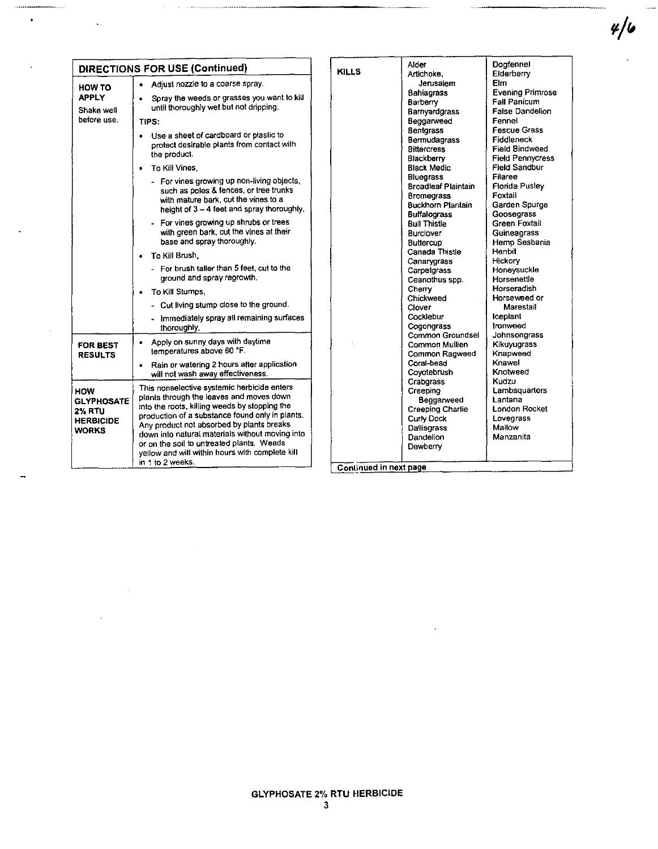|                                                            |                                                                                                                                                                                                                                                                                                                                                                                                                                                                                                                                                                                                                                                                                                                                                                                                                |                        | Alder                                                                                                                                                                                                                                                                                                                                                                                                                                                                                   | Doafennel                                                                                                                                                                                                                                                                                                                                                                                                                                                                              |
|------------------------------------------------------------|----------------------------------------------------------------------------------------------------------------------------------------------------------------------------------------------------------------------------------------------------------------------------------------------------------------------------------------------------------------------------------------------------------------------------------------------------------------------------------------------------------------------------------------------------------------------------------------------------------------------------------------------------------------------------------------------------------------------------------------------------------------------------------------------------------------|------------------------|-----------------------------------------------------------------------------------------------------------------------------------------------------------------------------------------------------------------------------------------------------------------------------------------------------------------------------------------------------------------------------------------------------------------------------------------------------------------------------------------|----------------------------------------------------------------------------------------------------------------------------------------------------------------------------------------------------------------------------------------------------------------------------------------------------------------------------------------------------------------------------------------------------------------------------------------------------------------------------------------|
|                                                            | <b>DIRECTIONS FOR USE (Continued)</b>                                                                                                                                                                                                                                                                                                                                                                                                                                                                                                                                                                                                                                                                                                                                                                          | <b>KILLS</b>           | Artichoke.                                                                                                                                                                                                                                                                                                                                                                                                                                                                              |                                                                                                                                                                                                                                                                                                                                                                                                                                                                                        |
| <b>HOW TO</b><br><b>APPLY</b><br>Shake well<br>before use. | • Adjust nozzle to a coarse spray.<br>Spray the weeds or grasses you want to kill<br>$\bullet$<br>until thoroughly wet but not dripping.<br>TIPS:<br>. Use a sheet of cardboard or plastic to<br>protect desirable plants from contact with<br>the product.<br>To Kill Vines.<br>- For vines growing up non-living objects,<br>such as poles & fences, or tree trunks<br>with mature bark, cut the vines to a<br>height of 3 - 4 feet and spray thoroughly.<br>- For vines growing up shrubs or trees<br>with green bark, cut the vines at their<br>base and soray thoroughly.<br>• To Kill Brush.<br>- For brush tailer than 5 feet, cut to the<br>ground and spray regrowth.<br>To Kill Stumps,<br>٠<br>- Cut living stump close to the ground.<br>- Immediately spray all remaining surfaces<br>thoroughly. |                        | Jerusalem<br><b>Bahiagrass</b><br>Barberry<br>Barnyardgrass<br>Beggarweed<br><b>Bentgrass</b><br>Bermudagrass<br><b>Bittercress</b><br>Blackberry<br><b>Black Medic</b><br><b>Bluegrass</b><br><b>Broadleaf Plaintain</b><br><b>Bromegrass</b><br><b>Buckhorn Plantain</b><br><b>Buffalograss</b><br><b>Bull Thistle</b><br>Burclover<br><b>Buttercup</b><br>Canada Thistle<br>Canarygrass<br>Carpetgrass<br>Ceanothus spp.<br>Cherry<br>Chickweed<br>Clover<br>Cocklebur<br>Cogongrass | Elderberry<br>Elm.<br><b>Evening Primrose</b><br><b>Fall Panicum</b><br><b>False Dandelion</b><br>Fennel<br><b>Fescue Grass</b><br>Fiddleneck<br><b>Field Bindweed</b><br><b>Field Pennycress</b><br><b>Field Sandbur</b><br>Filaree<br>Florida Pusley<br>Foxtail<br>Garden Spurge<br>Goosegrass<br>Green Foxtail<br>Guineagrass<br>Hemo Sesbania<br>Henbit<br>Hickory<br>Honeysuckle<br>Horsenettle<br>Horseradish<br>Horseweed or<br>Marestail<br><b>iceplant</b><br><b>Ironweed</b> |
| <b>FOR BEST</b><br><b>RESULTS</b>                          | Apply on sunny days with daytime<br>٠<br>temperatures above 60 °F.<br>Rain or watering 2 hours after application<br>$\bullet$<br>will not wash away effectiveness.                                                                                                                                                                                                                                                                                                                                                                                                                                                                                                                                                                                                                                             |                        | Common Groundsel<br>Common Mullien<br>Common Ragweed<br>Coral-bead<br>Covotebrush                                                                                                                                                                                                                                                                                                                                                                                                       | Johnsongrass<br>Kikuvuorass<br>Knapweed<br>Knawel<br>Knotweed                                                                                                                                                                                                                                                                                                                                                                                                                          |
| HOW<br><b>GLYPHOSATE</b><br>2% RTU<br>HERBICIDE<br>WORKS   | This nonselective systemic herbicide enters<br>plants through the leaves and moves down<br>into the roots, killing weeds by stopping the<br>production of a substance found only in plants.<br>Any product not absorbed by plants breaks<br>down into natural materials without moving into<br>or on the soil to untreated plants. Weeds<br>yellow and will within hours with complete kill<br>in 1 to 2 weeks.                                                                                                                                                                                                                                                                                                                                                                                                | Continued in next page | Crabgrass<br>Creeping<br>Beggarweed<br>Creeping Charlie<br><b>Curly Dock</b><br>Dallisgrass<br>Dandelion<br>Dewberry                                                                                                                                                                                                                                                                                                                                                                    | Kudzu<br>Lambsquarters<br>Lantana<br>London Rocket<br>Lovegrass<br>Mallow<br>Manzanita                                                                                                                                                                                                                                                                                                                                                                                                 |

 $\bullet$ 

 $\ddot{\phantom{0}}$ 

 $4/6$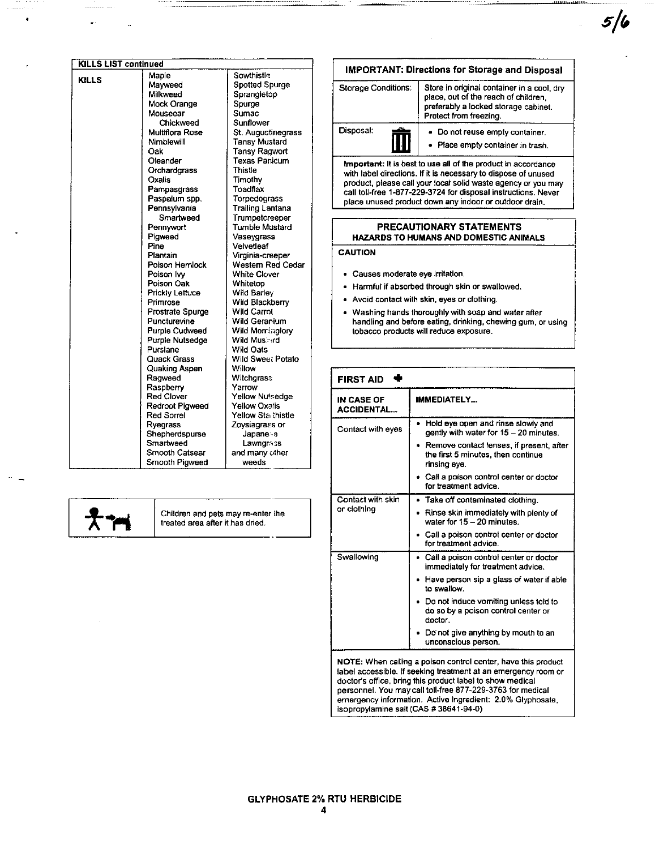| <b>KILLS LIST continued</b> |                                                                                                                                                                                         |                                                                                            |                                                                                                                                                                                                           | <b>IMPORTANT: Directions for Storage and Disposal</b>                                                                                                                                                                                                                                                                        |  |
|-----------------------------|-----------------------------------------------------------------------------------------------------------------------------------------------------------------------------------------|--------------------------------------------------------------------------------------------|-----------------------------------------------------------------------------------------------------------------------------------------------------------------------------------------------------------|------------------------------------------------------------------------------------------------------------------------------------------------------------------------------------------------------------------------------------------------------------------------------------------------------------------------------|--|
| <b>KILLS</b>                | Maple<br>Mayweed<br>Milkweed<br>Mock Orange<br>Mouseear                                                                                                                                 | Sowthistle<br>Spotted Spurge<br>Sprangletop<br>Spurge<br>Sumac                             | <b>Storage Conditions:</b>                                                                                                                                                                                | Store in original container in a cool, dry<br>place, out of the reach of children.<br>preferably a locked storage cabinet.<br>Protect from freezing.                                                                                                                                                                         |  |
|                             | Chickweed<br>Multiflora Rose<br>Nimblewill<br>Oak                                                                                                                                       | Sunflower<br>St. Augustinegrass<br><b>Tansy Mustard</b><br><b>Tansy Ragwort</b>            | Disposal:                                                                                                                                                                                                 | - Do not reuse empty container.<br>• Place empty container in trash.                                                                                                                                                                                                                                                         |  |
|                             | <b>Texas Panicum</b><br>Oleander<br>Orchardgrass<br>Thistle<br>Oxalis<br>Timothy<br>Toadflax<br>Pampasgrass<br>Paspalum spp.<br>Torpedoorass<br>Pennsylvania<br><b>Trailing Lantana</b> |                                                                                            |                                                                                                                                                                                                           | Important: It is best to use all of the product in accordance<br>with label directions. If it is necessary to dispose of unused<br>product, please call your local solid waste agency or you may<br>call toll-free 1-877-229-3724 for disposal instructions. Never<br>place unused product down any indoor or outdoor drain. |  |
|                             | Smanweed<br>Pennywort                                                                                                                                                                   | Trumpetcreeper<br><b>Tumble Mustard</b>                                                    |                                                                                                                                                                                                           | PRECAUTIONARY STATEMENTS                                                                                                                                                                                                                                                                                                     |  |
|                             | Pigweed<br>Pine                                                                                                                                                                         | Vaseygrass<br>Velvetleaf                                                                   |                                                                                                                                                                                                           | <b>HAZARDS TO HUMANS AND DOMESTIC ANIMALS</b>                                                                                                                                                                                                                                                                                |  |
|                             | Plantain<br>Poison Hemlock<br>Poison Ivy                                                                                                                                                | Virginia-creeper<br>Western Red Cedar<br><b>White Clover</b>                               | <b>CAUTION</b><br>· Causes moderate eye irritation.                                                                                                                                                       |                                                                                                                                                                                                                                                                                                                              |  |
|                             | Poison Oak                                                                                                                                                                              | Whitetop                                                                                   |                                                                                                                                                                                                           | Harmful if absorbed through skin or swallowed.                                                                                                                                                                                                                                                                               |  |
|                             | Prickly Lettuce                                                                                                                                                                         | Wild Barley                                                                                | Avoid contact with skin, eves or clothing.<br>Washing hands thoroughly with soap and water after<br>handling and before eating, drinking, chewing gum, or usin-<br>tobacco products will reduce exposure. |                                                                                                                                                                                                                                                                                                                              |  |
|                             | Primrose<br><b>Prostrate Spurge</b><br>Puncturevine<br><b>Purple Cudweed</b><br>Purple Nutsedge                                                                                         | Wild Blackberry<br><b>Wild Carrot</b><br>Wild Geranium<br>Wild Morringtory<br>Wild Mushird |                                                                                                                                                                                                           |                                                                                                                                                                                                                                                                                                                              |  |
|                             | Purslane<br><b>Ouack Grass</b>                                                                                                                                                          | Wild Oats<br>Wild Sweet Potato                                                             |                                                                                                                                                                                                           |                                                                                                                                                                                                                                                                                                                              |  |
|                             | Quaking Aspen<br>Ragweed<br>Raspberry                                                                                                                                                   | Willow<br>Witchgrass<br>Yarrow                                                             | <b>FIRST AID</b>                                                                                                                                                                                          |                                                                                                                                                                                                                                                                                                                              |  |
|                             | <b>Red Clover</b><br><b>Redroot Pigweed</b><br><b>Red Sorrel</b>                                                                                                                        | Yellow Nutsedge<br><b>Yellow Oxatis</b><br>Yellow Starthistle                              | IN CASE OF<br><b>ACCIDENTAL</b>                                                                                                                                                                           | <b>IMMEDIATELY</b>                                                                                                                                                                                                                                                                                                           |  |
|                             | Ryegrass<br>Shepherdspurse                                                                                                                                                              | Zoysiagrass or<br>Japaness                                                                 | Contact with eyes                                                                                                                                                                                         | • Hold eye open and rinse slowly and<br>gently with water for 15 - 20 minutes.                                                                                                                                                                                                                                               |  |
|                             | Smartweed<br>Smooth Catsear<br>Smooth Pigweed                                                                                                                                           | <b>Lawngrass</b><br>and many other<br>weeds                                                |                                                                                                                                                                                                           | • Remove contact lenses, if present, after<br>the first 5 minutes, then continue<br>rinsing eye.                                                                                                                                                                                                                             |  |
|                             |                                                                                                                                                                                         |                                                                                            |                                                                                                                                                                                                           | $\mathcal{O}$ all a matematical members and $\mathcal{O}$                                                                                                                                                                                                                                                                    |  |

╉╕

Children and pets may re-enter the<br>treated area after it has dried.

| <b>IMPORTANT: Directions for Storage and Disposal</b> |  |                                                                                                                                                      |  |
|-------------------------------------------------------|--|------------------------------------------------------------------------------------------------------------------------------------------------------|--|
| <b>Storage Conditions:</b>                            |  | Store in original container in a cool, dry<br>place, out of the reach of children.<br>preferably a locked storage cabinet.<br>Protect from freezing. |  |
| Disposal:                                             |  | • Do not reuse empty container.<br>• Place empty container in trash.                                                                                 |  |

#### PRECAUTIONARY STATEMENTS IDS TO HUMANS AND DOMESTIC ANIMALS

- s moderate eye irritation.
- I if absorbed through skin or swallowed.
- ontact with skin, eyes or clothing.
- ig hands thoroughly with soap and water after ig and before eating, drinking, chewing gum, or using products will reduce exposure.

| FIRST AID                              |                                                                                                                                                                                                                                                                                                                          |  |
|----------------------------------------|--------------------------------------------------------------------------------------------------------------------------------------------------------------------------------------------------------------------------------------------------------------------------------------------------------------------------|--|
| <b>IN CASE OF</b><br><b>ACCIDENTAL</b> | <b>IMMEDIATELY</b>                                                                                                                                                                                                                                                                                                       |  |
| Contact with eyes                      | Hold eye open and rinse slowly and<br>٠<br>gently with water for 15 - 20 minutes.                                                                                                                                                                                                                                        |  |
|                                        | • Remove contact lenses, if present, after<br>the first 5 minutes, then continue<br>rinsing eve.                                                                                                                                                                                                                         |  |
|                                        | Call a poison control center or doctor<br>for treatment advice.                                                                                                                                                                                                                                                          |  |
| Contact with skin                      | • Take off contaminated clothing.                                                                                                                                                                                                                                                                                        |  |
| or clothing                            | • Rinse skin immediately with plenty of<br>water for $15 - 20$ minutes.                                                                                                                                                                                                                                                  |  |
|                                        | Call a poison control center or doctor<br>for treatment advice.                                                                                                                                                                                                                                                          |  |
| Swallowing                             | • Call a poison control center or doctor<br>immediately for treatment advice.                                                                                                                                                                                                                                            |  |
|                                        | Have person sip a glass of water if able<br>to swallow.                                                                                                                                                                                                                                                                  |  |
|                                        | Do not induce vomiting unless told to<br>do so by a poison control center or<br>doctor.                                                                                                                                                                                                                                  |  |
|                                        | Do not give anything by mouth to an<br>unconscious person.                                                                                                                                                                                                                                                               |  |
|                                        | NOTE: When calling a poison control center, have this product<br>label accessible. If seeking treatment at an emergency room or<br>doctor's office, bring this product label to show medical<br>personnel. You may call toll-free 877-229-3763 for medical<br>emergency information. Active Ingredient: 2.0% Glyphosate, |  |

isopropylamine salt (CAS # 38641-94~O)